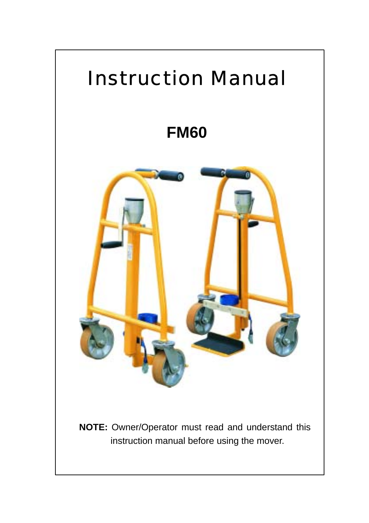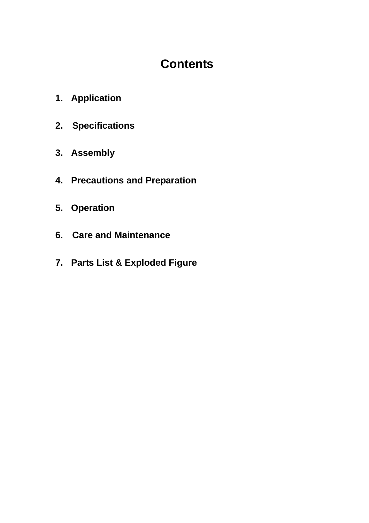# **Contents**

- **1. Application**
- **2. Specifications**
- **3. Assembly**
- **4. Precautions and Preparation**
- **5. Operation**
- **6. Care and Maintenance**
- **7. Parts List & Exploded Figure**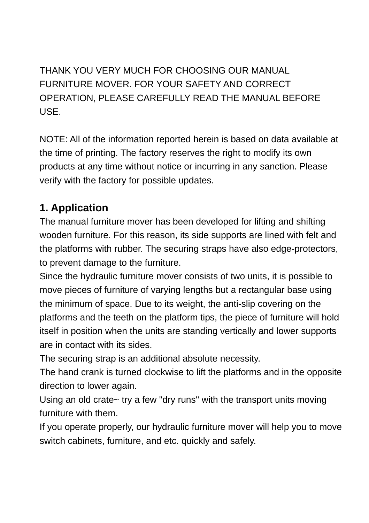THANK YOU VERY MUCH FOR CHOOSING OUR MANUAL FURNITURE MOVER. FOR YOUR SAFETY AND CORRECT OPERATION, PLEASE CAREFULLY READ THE MANUAL BEFORE USE.

NOTE: All of the information reported herein is based on data available at the time of printing. The factory reserves the right to modify its own products at any time without notice or incurring in any sanction. Please verify with the factory for possible updates.

## **1. Application**

The manual furniture mover has been developed for lifting and shifting wooden furniture. For this reason, its side supports are lined with felt and the platforms with rubber. The securing straps have also edge-protectors, to prevent damage to the furniture.

Since the hydraulic furniture mover consists of two units, it is possible to move pieces of furniture of varying lengths but a rectangular base using the minimum of space. Due to its weight, the anti-slip covering on the platforms and the teeth on the platform tips, the piece of furniture will hold itself in position when the units are standing vertically and lower supports are in contact with its sides.

The securing strap is an additional absolute necessity.

The hand crank is turned clockwise to lift the platforms and in the opposite direction to lower again.

Using an old crate~ try a few "dry runs" with the transport units moving furniture with them.

If you operate properly, our hydraulic furniture mover will help you to move switch cabinets, furniture, and etc. quickly and safely.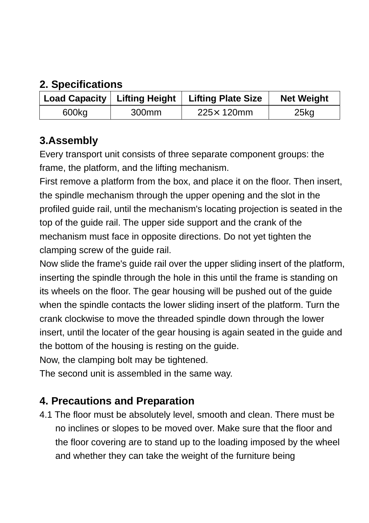### **2. Specifications**

|       |                   | Load Capacity   Lifting Height   Lifting Plate Size | <b>Net Weight</b> |
|-------|-------------------|-----------------------------------------------------|-------------------|
| 600kg | 300 <sub>mm</sub> | $225\times 120$ mm                                  | 25kg              |

#### **3.Assembly**

Every transport unit consists of three separate component groups: the frame, the platform, and the lifting mechanism.

First remove a platform from the box, and place it on the floor. Then insert, the spindle mechanism through the upper opening and the slot in the profiled guide rail, until the mechanism's locating projection is seated in the top of the guide rail. The upper side support and the crank of the mechanism must face in opposite directions. Do not yet tighten the clamping screw of the guide rail.

Now slide the frame's guide rail over the upper sliding insert of the platform, inserting the spindle through the hole in this until the frame is standing on its wheels on the floor. The gear housing will be pushed out of the guide when the spindle contacts the lower sliding insert of the platform. Turn the crank clockwise to move the threaded spindle down through the lower insert, until the locater of the gear housing is again seated in the guide and the bottom of the housing is resting on the guide.

Now, the clamping bolt may be tightened.

The second unit is assembled in the same way.

## **4. Precautions and Preparation**

4.1 The floor must be absolutely level, smooth and clean. There must be no inclines or slopes to be moved over. Make sure that the floor and the floor covering are to stand up to the loading imposed by the wheel and whether they can take the weight of the furniture being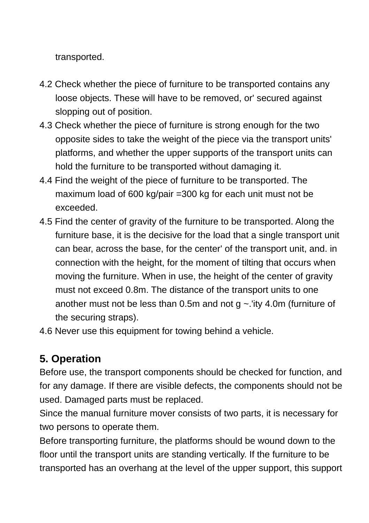transported.

- 4.2 Check whether the piece of furniture to be transported contains any loose objects. These will have to be removed, or' secured against slopping out of position.
- 4.3 Check whether the piece of furniture is strong enough for the two opposite sides to take the weight of the piece via the transport units' platforms, and whether the upper supports of the transport units can hold the furniture to be transported without damaging it.
- 4.4 Find the weight of the piece of furniture to be transported. The maximum load of 600 kg/pair =300 kg for each unit must not be exceeded.
- 4.5 Find the center of gravity of the furniture to be transported. Along the furniture base, it is the decisive for the load that a single transport unit can bear, across the base, for the center' of the transport unit, and. in connection with the height, for the moment of tilting that occurs when moving the furniture. When in use, the height of the center of gravity must not exceed 0.8m. The distance of the transport units to one another must not be less than 0.5m and not  $g \sim$  lity 4.0m (furniture of the securing straps).
- 4.6 Never use this equipment for towing behind a vehicle.

## **5. Operation**

Before use, the transport components should be checked for function, and for any damage. If there are visible defects, the components should not be used. Damaged parts must be replaced.

Since the manual furniture mover consists of two parts, it is necessary for two persons to operate them.

Before transporting furniture, the platforms should be wound down to the floor until the transport units are standing vertically. If the furniture to be transported has an overhang at the level of the upper support, this support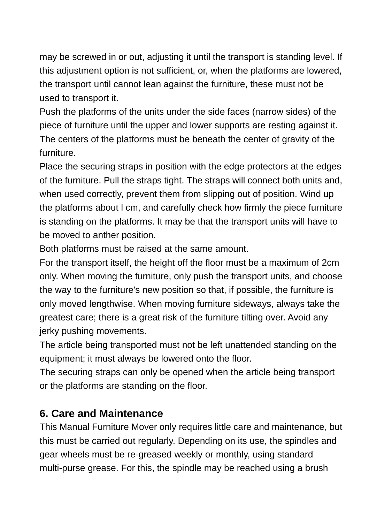may be screwed in or out, adjusting it until the transport is standing level. If this adjustment option is not sufficient, or, when the platforms are lowered, the transport until cannot lean against the furniture, these must not be used to transport it.

Push the platforms of the units under the side faces (narrow sides) of the piece of furniture until the upper and lower supports are resting against it. The centers of the platforms must be beneath the center of gravity of the furniture.

Place the securing straps in position with the edge protectors at the edges of the furniture. Pull the straps tight. The straps will connect both units and, when used correctly, prevent them from slipping out of position. Wind up the platforms about l cm, and carefully check how firmly the piece furniture is standing on the platforms. It may be that the transport units will have to be moved to anther position.

Both platforms must be raised at the same amount.

For the transport itself, the height off the floor must be a maximum of 2cm only. When moving the furniture, only push the transport units, and choose the way to the furniture's new position so that, if possible, the furniture is only moved lengthwise. When moving furniture sideways, always take the greatest care; there is a great risk of the furniture tilting over. Avoid any jerky pushing movements.

The article being transported must not be left unattended standing on the equipment; it must always be lowered onto the floor.

The securing straps can only be opened when the article being transport or the platforms are standing on the floor.

#### **6. Care and Maintenance**

This Manual Furniture Mover only requires little care and maintenance, but this must be carried out regularly. Depending on its use, the spindles and gear wheels must be re-greased weekly or monthly, using standard multi-purse grease. For this, the spindle may be reached using a brush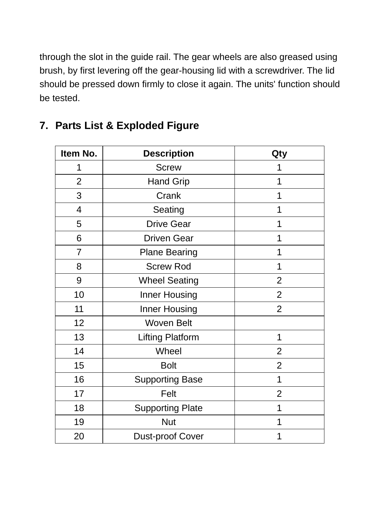through the slot in the guide rail. The gear wheels are also greased using brush, by first levering off the gear-housing lid with a screwdriver. The lid should be pressed down firmly to close it again. The units' function should be tested.

| Item No.       | <b>Description</b>      | Qty            |
|----------------|-------------------------|----------------|
| 1              | <b>Screw</b>            | 1              |
| $\overline{2}$ | <b>Hand Grip</b>        | 1              |
| 3              | Crank                   | 1              |
| 4              | Seating                 |                |
| 5              | <b>Drive Gear</b>       | 1              |
| 6              | <b>Driven Gear</b>      | 1              |
| $\overline{7}$ | <b>Plane Bearing</b>    | 1              |
| 8              | <b>Screw Rod</b>        | 1              |
| 9              | <b>Wheel Seating</b>    | 2              |
| 10             | Inner Housing           | $\overline{2}$ |
| 11             | Inner Housing           | $\overline{2}$ |
| 12             | Woven Belt              |                |
| 13             | <b>Lifting Platform</b> | 1              |
| 14             | Wheel                   | $\overline{2}$ |
| 15             | <b>Bolt</b>             | $\overline{2}$ |
| 16             | <b>Supporting Base</b>  | 1              |
| 17             | Felt                    | 2              |
| 18             | <b>Supporting Plate</b> | 1              |
| 19             | Nut                     | 1              |
| 20             | Dust-proof Cover        | 1              |

### **7. Parts List & Exploded Figure**